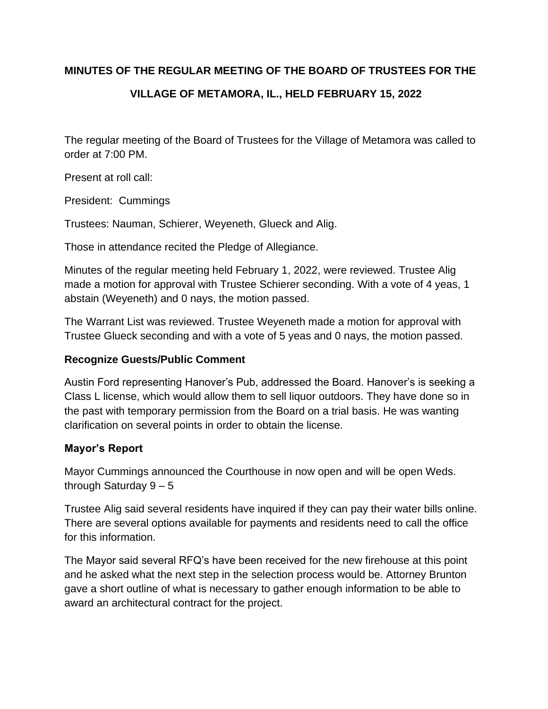## **MINUTES OF THE REGULAR MEETING OF THE BOARD OF TRUSTEES FOR THE**

# **VILLAGE OF METAMORA, IL., HELD FEBRUARY 15, 2022**

The regular meeting of the Board of Trustees for the Village of Metamora was called to order at 7:00 PM.

Present at roll call:

President: Cummings

Trustees: Nauman, Schierer, Weyeneth, Glueck and Alig.

Those in attendance recited the Pledge of Allegiance.

Minutes of the regular meeting held February 1, 2022, were reviewed. Trustee Alig made a motion for approval with Trustee Schierer seconding. With a vote of 4 yeas, 1 abstain (Weyeneth) and 0 nays, the motion passed.

The Warrant List was reviewed. Trustee Weyeneth made a motion for approval with Trustee Glueck seconding and with a vote of 5 yeas and 0 nays, the motion passed.

### **Recognize Guests/Public Comment**

Austin Ford representing Hanover's Pub, addressed the Board. Hanover's is seeking a Class L license, which would allow them to sell liquor outdoors. They have done so in the past with temporary permission from the Board on a trial basis. He was wanting clarification on several points in order to obtain the license.

## **Mayor's Report**

Mayor Cummings announced the Courthouse in now open and will be open Weds. through Saturday  $9 - 5$ 

Trustee Alig said several residents have inquired if they can pay their water bills online. There are several options available for payments and residents need to call the office for this information.

The Mayor said several RFQ's have been received for the new firehouse at this point and he asked what the next step in the selection process would be. Attorney Brunton gave a short outline of what is necessary to gather enough information to be able to award an architectural contract for the project.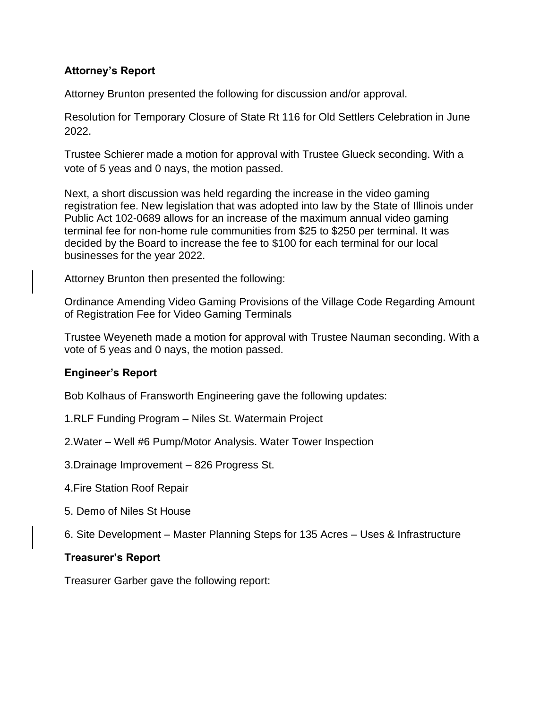## **Attorney's Report**

Attorney Brunton presented the following for discussion and/or approval.

Resolution for Temporary Closure of State Rt 116 for Old Settlers Celebration in June 2022.

Trustee Schierer made a motion for approval with Trustee Glueck seconding. With a vote of 5 yeas and 0 nays, the motion passed.

Next, a short discussion was held regarding the increase in the video gaming registration fee. New legislation that was adopted into law by the State of Illinois under Public Act 102-0689 allows for an increase of the maximum annual video gaming terminal fee for non-home rule communities from \$25 to \$250 per terminal. It was decided by the Board to increase the fee to \$100 for each terminal for our local businesses for the year 2022.

Attorney Brunton then presented the following:

Ordinance Amending Video Gaming Provisions of the Village Code Regarding Amount of Registration Fee for Video Gaming Terminals

Trustee Weyeneth made a motion for approval with Trustee Nauman seconding. With a vote of 5 yeas and 0 nays, the motion passed.

### **Engineer's Report**

Bob Kolhaus of Fransworth Engineering gave the following updates:

- 1.RLF Funding Program Niles St. Watermain Project
- 2.Water Well #6 Pump/Motor Analysis. Water Tower Inspection
- 3.Drainage Improvement 826 Progress St.
- 4.Fire Station Roof Repair
- 5. Demo of Niles St House
- 6. Site Development Master Planning Steps for 135 Acres Uses & Infrastructure

### **Treasurer's Report**

Treasurer Garber gave the following report: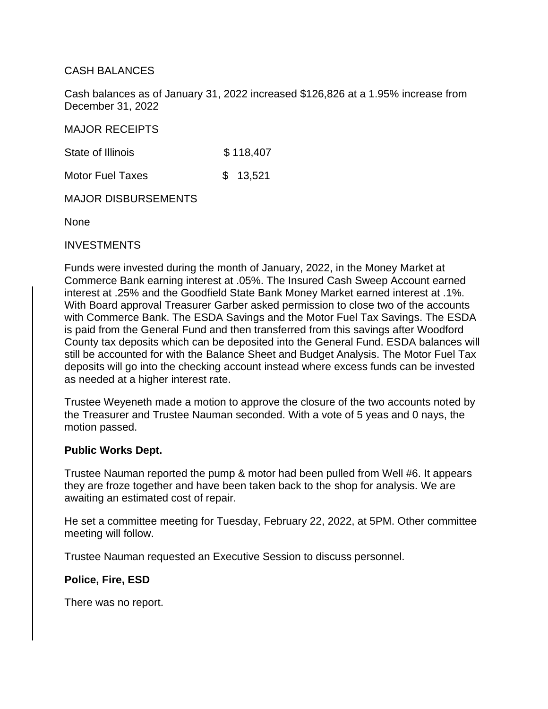### CASH BALANCES

Cash balances as of January 31, 2022 increased \$126,826 at a 1.95% increase from December 31, 2022

MAJOR RECEIPTS

State of Illinois \$118,407

Motor Fuel Taxes \$ 13,521

MAJOR DISBURSEMENTS

None

#### INVESTMENTS

Funds were invested during the month of January, 2022, in the Money Market at Commerce Bank earning interest at .05%. The Insured Cash Sweep Account earned interest at .25% and the Goodfield State Bank Money Market earned interest at .1%. With Board approval Treasurer Garber asked permission to close two of the accounts with Commerce Bank. The ESDA Savings and the Motor Fuel Tax Savings. The ESDA is paid from the General Fund and then transferred from this savings after Woodford County tax deposits which can be deposited into the General Fund. ESDA balances will still be accounted for with the Balance Sheet and Budget Analysis. The Motor Fuel Tax deposits will go into the checking account instead where excess funds can be invested as needed at a higher interest rate.

Trustee Weyeneth made a motion to approve the closure of the two accounts noted by the Treasurer and Trustee Nauman seconded. With a vote of 5 yeas and 0 nays, the motion passed.

#### **Public Works Dept.**

Trustee Nauman reported the pump & motor had been pulled from Well #6. It appears they are froze together and have been taken back to the shop for analysis. We are awaiting an estimated cost of repair.

He set a committee meeting for Tuesday, February 22, 2022, at 5PM. Other committee meeting will follow.

Trustee Nauman requested an Executive Session to discuss personnel.

**Police, Fire, ESD**

There was no report.